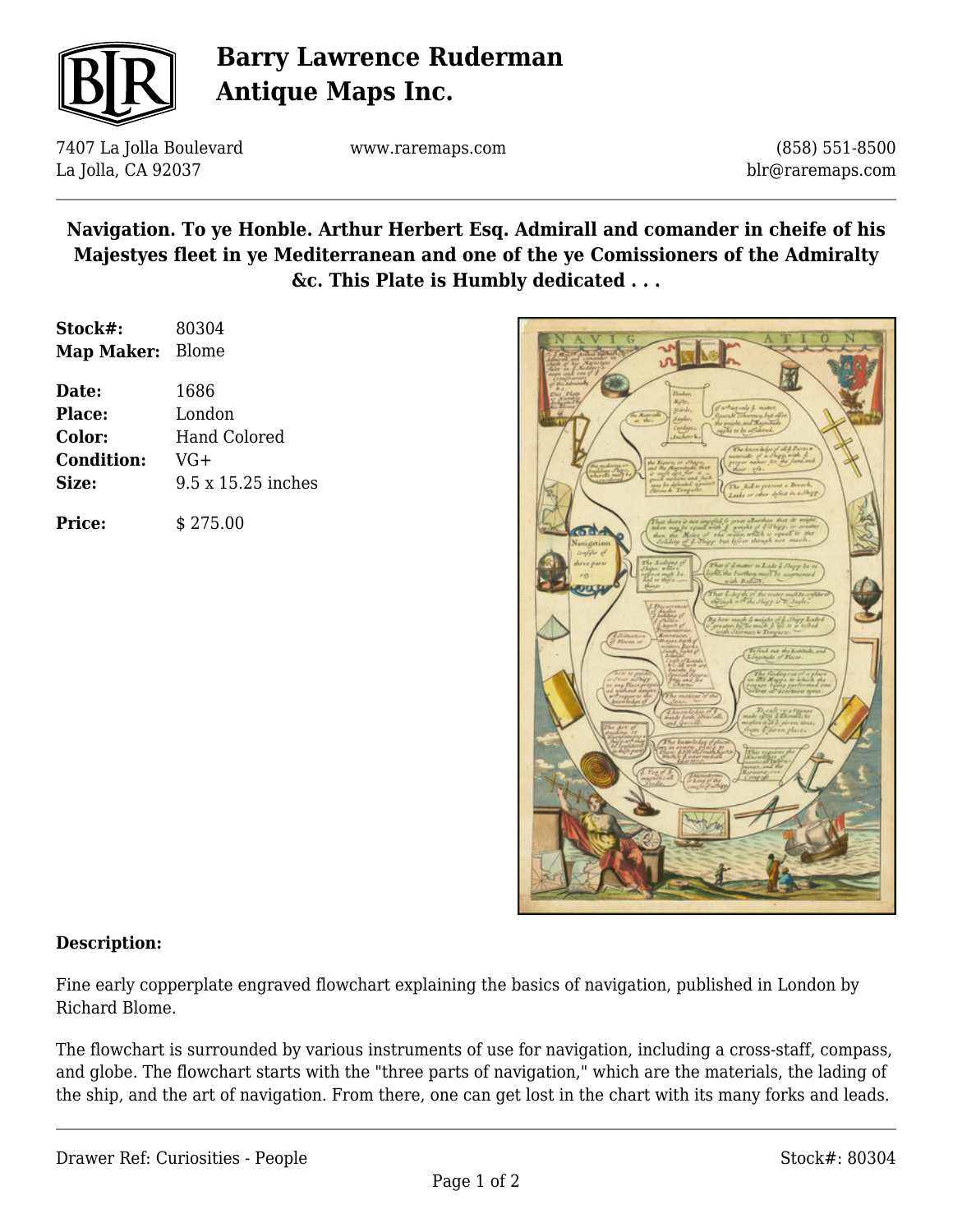

# **Barry Lawrence Ruderman Antique Maps Inc.**

7407 La Jolla Boulevard La Jolla, CA 92037

www.raremaps.com

(858) 551-8500 blr@raremaps.com

### **Navigation. To ye Honble. Arthur Herbert Esq. Admirall and comander in cheife of his Majestyes fleet in ye Mediterranean and one of the ye Comissioners of the Admiralty &c. This Plate is Humbly dedicated . . .**

| Stock#:           | 80304                     |
|-------------------|---------------------------|
| Map Maker: Blome  |                           |
| Date:             | 1686                      |
| Place:            | London                    |
| Color:            | <b>Hand Colored</b>       |
| <b>Condition:</b> | $VG+$                     |
| Size:             | $9.5 \times 15.25$ inches |
| <b>Price:</b>     | \$275.00                  |



#### **Description:**

Fine early copperplate engraved flowchart explaining the basics of navigation, published in London by Richard Blome.

The flowchart is surrounded by various instruments of use for navigation, including a cross-staff, compass, and globe. The flowchart starts with the "three parts of navigation," which are the materials, the lading of the ship, and the art of navigation. From there, one can get lost in the chart with its many forks and leads.